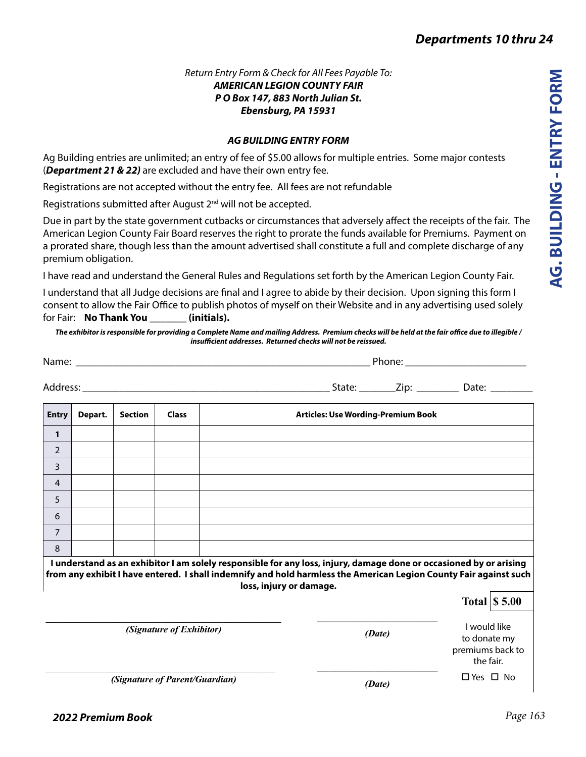### *Return Entry Form & Check for All Fees Payable To: AMERICAN LEGION COUNTY FAIR P O Box 147, 883 North Julian St. Ebensburg, PA 15931*

### *AG BUILDING ENTRY FORM*

Ag Building entries are unlimited; an entry of fee of \$5.00 allows for multiple entries. Some major contests (*Department 21 & 22)* are excluded and have their own entry fee.

Registrations are not accepted without the entry fee. All fees are not refundable

Registrations submitted after August 2<sup>nd</sup> will not be accepted.

Due in part by the state government cutbacks or circumstances that adversely affect the receipts of the fair. The American Legion County Fair Board reserves the right to prorate the funds available for Premiums. Payment on a prorated share, though less than the amount advertised shall constitute a full and complete discharge of any premium obligation.

I have read and understand the General Rules and Regulations set forth by the American Legion County Fair.

I understand that all Judge decisions are final and I agree to abide by their decision. Upon signing this form I consent to allow the Fair Office to publish photos of myself on their Website and in any advertising used solely for Fair: **No Thank You \_\_\_\_\_\_\_ (initials).**

*The exhibitor is responsible for providing a Complete Name and mailing Address. Premium checks will be held at the fair office due to illegible / insufficient addresses. Returned checks will not be reissued.*

| Name: when the contract of the contract of the contract of the contract of the contract of the contract of the contract of the contract of the contract of the contract of the contract of the contract of the contract of the |         |                |       |                                                                                                                                                                                                                                                                    |                                           |                                                               |                                               |  |
|--------------------------------------------------------------------------------------------------------------------------------------------------------------------------------------------------------------------------------|---------|----------------|-------|--------------------------------------------------------------------------------------------------------------------------------------------------------------------------------------------------------------------------------------------------------------------|-------------------------------------------|---------------------------------------------------------------|-----------------------------------------------|--|
|                                                                                                                                                                                                                                |         |                |       |                                                                                                                                                                                                                                                                    |                                           |                                                               | _State: _________Zip: __________ Date: ______ |  |
| <b>Entry</b>                                                                                                                                                                                                                   | Depart. | <b>Section</b> | Class |                                                                                                                                                                                                                                                                    | <b>Articles: Use Wording-Premium Book</b> |                                                               |                                               |  |
| 1                                                                                                                                                                                                                              |         |                |       |                                                                                                                                                                                                                                                                    |                                           |                                                               |                                               |  |
| $\overline{2}$                                                                                                                                                                                                                 |         |                |       |                                                                                                                                                                                                                                                                    |                                           |                                                               |                                               |  |
| 3                                                                                                                                                                                                                              |         |                |       |                                                                                                                                                                                                                                                                    |                                           |                                                               |                                               |  |
| 4                                                                                                                                                                                                                              |         |                |       |                                                                                                                                                                                                                                                                    |                                           |                                                               |                                               |  |
| 5                                                                                                                                                                                                                              |         |                |       |                                                                                                                                                                                                                                                                    |                                           |                                                               |                                               |  |
| 6                                                                                                                                                                                                                              |         |                |       |                                                                                                                                                                                                                                                                    |                                           |                                                               |                                               |  |
| $\overline{7}$                                                                                                                                                                                                                 |         |                |       |                                                                                                                                                                                                                                                                    |                                           |                                                               |                                               |  |
| 8                                                                                                                                                                                                                              |         |                |       |                                                                                                                                                                                                                                                                    |                                           |                                                               |                                               |  |
|                                                                                                                                                                                                                                |         |                |       | I understand as an exhibitor I am solely responsible for any loss, injury, damage done or occasioned by or arising<br>from any exhibit I have entered. I shall indemnify and hold harmless the American Legion County Fair against such<br>loss, injury or damage. |                                           |                                                               |                                               |  |
|                                                                                                                                                                                                                                |         |                |       |                                                                                                                                                                                                                                                                    |                                           |                                                               | Total $\vert$ \$ 5.00                         |  |
| (Signature of Exhibitor)                                                                                                                                                                                                       |         |                |       |                                                                                                                                                                                                                                                                    | (Date)                                    | I would like<br>to donate my<br>premiums back to<br>the fair. |                                               |  |

(Signature of Parent/Guardian)<br>■ C Yes □ No *Quardian* / *Data* / *Data* / *Data* / *No* Yes □ No

*(Date)*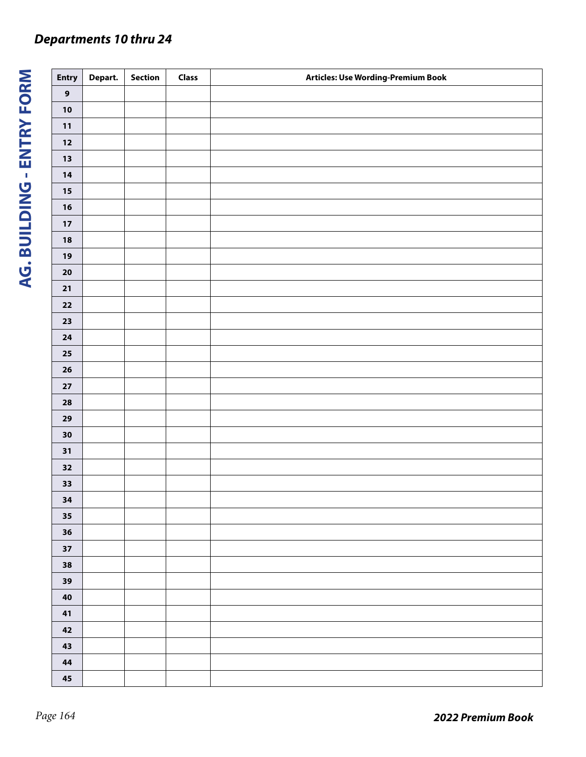# *Departments 10 thru 24*

| <b>Entry</b>     | Depart. | Section | Class | Articles: Use Wording-Premium Book |
|------------------|---------|---------|-------|------------------------------------|
| $\boldsymbol{9}$ |         |         |       |                                    |
| $10$             |         |         |       |                                    |
| $11$             |         |         |       |                                    |
| $12\,$           |         |         |       |                                    |
| $13$             |         |         |       |                                    |
| 14               |         |         |       |                                    |
| $15\,$           |         |         |       |                                    |
| $16$             |         |         |       |                                    |
| $17\,$           |         |         |       |                                    |
| $18$             |         |         |       |                                    |
| 19               |         |         |       |                                    |
| ${\bf 20}$       |         |         |       |                                    |
| ${\bf 21}$       |         |         |       |                                    |
| $\bf{22}$        |         |         |       |                                    |
| $23$             |         |         |       |                                    |
| ${\bf 24}$       |         |         |       |                                    |
| ${\bf 25}$       |         |         |       |                                    |
| ${\bf 26}$       |         |         |       |                                    |
| $\bf 27$         |         |         |       |                                    |
| ${\bf 28}$       |         |         |       |                                    |
| 29               |         |         |       |                                    |
| $\bf{30}$        |         |         |       |                                    |
| 31               |         |         |       |                                    |
| 32               |         |         |       |                                    |
| $33$             |         |         |       |                                    |
| 34               |         |         |       |                                    |
| 35               |         |         |       |                                    |
| $36$             |         |         |       |                                    |
| 37               |         |         |       |                                    |
| 38               |         |         |       |                                    |
| 39               |         |         |       |                                    |
| ${\bf 40}$       |         |         |       |                                    |
| 41               |         |         |       |                                    |
| $\bf 42$         |         |         |       |                                    |
| 43               |         |         |       |                                    |
| 44               |         |         |       |                                    |
| $\bf 45$         |         |         |       |                                    |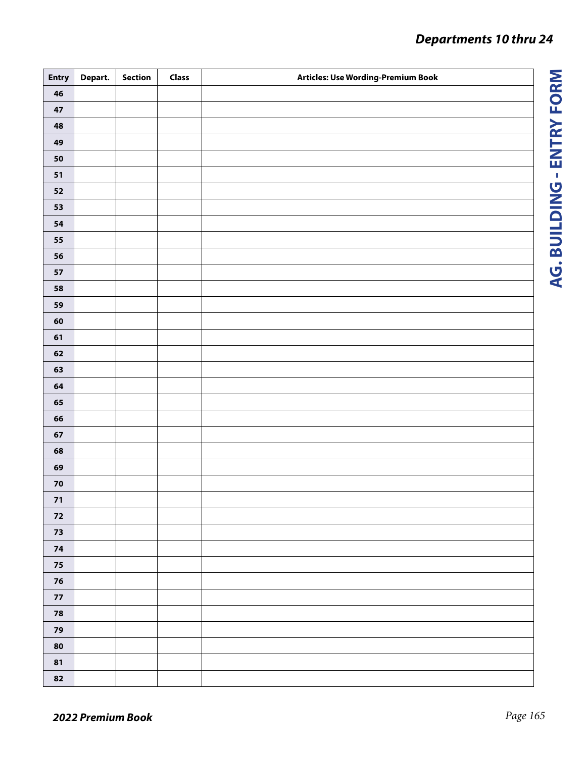# *Departments 10 thru 24*

| <b>Entry</b> | Depart. | Section | <b>Class</b> | Articles: Use Wording-Premium Book |
|--------------|---------|---------|--------------|------------------------------------|
| 46           |         |         |              |                                    |
| $\bf 47$     |         |         |              |                                    |
| 48           |         |         |              |                                    |
| 49           |         |         |              |                                    |
| 50           |         |         |              |                                    |
| 51           |         |         |              |                                    |
| ${\bf 52}$   |         |         |              |                                    |
| 53           |         |         |              |                                    |
| ${\bf 54}$   |         |         |              |                                    |
| 55           |         |         |              |                                    |
| 56           |         |         |              |                                    |
| ${\bf 57}$   |         |         |              |                                    |
| 58           |         |         |              |                                    |
| 59           |         |         |              |                                    |
| 60           |         |         |              |                                    |
| 61           |         |         |              |                                    |
| 62           |         |         |              |                                    |
| 63           |         |         |              |                                    |
| 64           |         |         |              |                                    |
| 65           |         |         |              |                                    |
| 66           |         |         |              |                                    |
| 67           |         |         |              |                                    |
| 68           |         |         |              |                                    |
| 69           |         |         |              |                                    |
| ${\bf 70}$   |         |         |              |                                    |
| 71           |         |         |              |                                    |
| 72           |         |         |              |                                    |
| $73\,$       |         |         |              |                                    |
| ${\bf 74}$   |         |         |              |                                    |
| 75           |         |         |              |                                    |
| 76           |         |         |              |                                    |
| ${\bf 77}$   |         |         |              |                                    |
| ${\bf 78}$   |         |         |              |                                    |
| 79           |         |         |              |                                    |
| 80           |         |         |              |                                    |
| 81           |         |         |              |                                    |
| 82           |         |         |              |                                    |